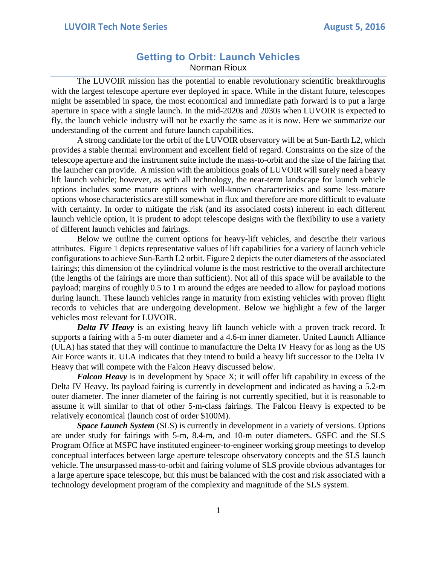## **Getting to Orbit: Launch Vehicles** Norman Rioux

The LUVOIR mission has the potential to enable revolutionary scientific breakthroughs with the largest telescope aperture ever deployed in space. While in the distant future, telescopes might be assembled in space, the most economical and immediate path forward is to put a large aperture in space with a single launch. In the mid-2020s and 2030s when LUVOIR is expected to fly, the launch vehicle industry will not be exactly the same as it is now. Here we summarize our understanding of the current and future launch capabilities.

A strong candidate for the orbit of the LUVOIR observatory will be at Sun-Earth L2, which provides a stable thermal environment and excellent field of regard. Constraints on the size of the telescope aperture and the instrument suite include the mass-to-orbit and the size of the fairing that the launcher can provide. A mission with the ambitious goals of LUVOIR will surely need a heavy lift launch vehicle; however, as with all technology, the near-term landscape for launch vehicle options includes some mature options with well-known characteristics and some less-mature options whose characteristics are still somewhat in flux and therefore are more difficult to evaluate with certainty. In order to mitigate the risk (and its associated costs) inherent in each different launch vehicle option, it is prudent to adopt telescope designs with the flexibility to use a variety of different launch vehicles and fairings.

Below we outline the current options for heavy-lift vehicles, and describe their various attributes. Figure 1 depicts representative values of lift capabilities for a variety of launch vehicle configurations to achieve Sun-Earth L2 orbit. Figure 2 depicts the outer diameters of the associated fairings; this dimension of the cylindrical volume is the most restrictive to the overall architecture (the lengths of the fairings are more than sufficient). Not all of this space will be available to the payload; margins of roughly 0.5 to 1 m around the edges are needed to allow for payload motions during launch. These launch vehicles range in maturity from existing vehicles with proven flight records to vehicles that are undergoing development. Below we highlight a few of the larger vehicles most relevant for LUVOIR.

*Delta IV Heavy* is an existing heavy lift launch vehicle with a proven track record. It supports a fairing with a 5-m outer diameter and a 4.6-m inner diameter. United Launch Alliance (ULA) has stated that they will continue to manufacture the Delta IV Heavy for as long as the US Air Force wants it. ULA indicates that they intend to build a heavy lift successor to the Delta IV Heavy that will compete with the Falcon Heavy discussed below.

*Falcon Heavy* is in development by Space X; it will offer lift capability in excess of the Delta IV Heavy. Its payload fairing is currently in development and indicated as having a 5.2-m outer diameter. The inner diameter of the fairing is not currently specified, but it is reasonable to assume it will similar to that of other 5-m-class fairings. The Falcon Heavy is expected to be relatively economical (launch cost of order \$100M).

*Space Launch System* (SLS) is currently in development in a variety of versions. Options are under study for fairings with 5-m, 8.4-m, and 10-m outer diameters. GSFC and the SLS Program Office at MSFC have instituted engineer-to-engineer working group meetings to develop conceptual interfaces between large aperture telescope observatory concepts and the SLS launch vehicle. The unsurpassed mass-to-orbit and fairing volume of SLS provide obvious advantages for a large aperture space telescope, but this must be balanced with the cost and risk associated with a technology development program of the complexity and magnitude of the SLS system.